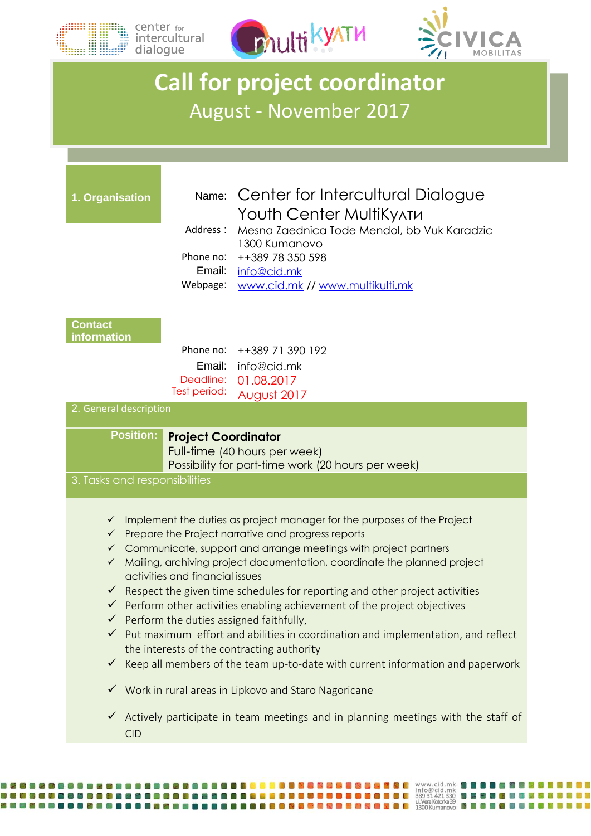

 $\begin{picture}(120,110) \put(0,0){\line(1,0){10}} \put(15,0){\line(1,0){10}} \put(15,0){\line(1,0){10}} \put(15,0){\line(1,0){10}} \put(15,0){\line(1,0){10}} \put(15,0){\line(1,0){10}} \put(15,0){\line(1,0){10}} \put(15,0){\line(1,0){10}} \put(15,0){\line(1,0){10}} \put(15,0){\line(1,0){10}} \put(15,0){\line(1,0){10}} \put(15,0){\line$ 



## **Call for project coordinator** August - November 2017

| 1. Organisation                                                                                                                                                        | Address:<br>Phone no:<br>Email:<br>Webpage: | Name: Center for Intercultural Dialogue<br>Youth Center MultiKy^TM<br>Mesna Zaednica Tode Mendol, bb Vuk Karadzic<br>1300 Kumanovo<br>++389 78 350 598<br>info@cid.mk<br>www.cid.mk // www.multikulti.mk                                                                                                                                                                                                                                                                                                                                                                                                                                                                                                                                                                                                                                                                                               |
|------------------------------------------------------------------------------------------------------------------------------------------------------------------------|---------------------------------------------|--------------------------------------------------------------------------------------------------------------------------------------------------------------------------------------------------------------------------------------------------------------------------------------------------------------------------------------------------------------------------------------------------------------------------------------------------------------------------------------------------------------------------------------------------------------------------------------------------------------------------------------------------------------------------------------------------------------------------------------------------------------------------------------------------------------------------------------------------------------------------------------------------------|
| <b>Contact</b><br>information<br>2. General description                                                                                                                | Email:<br>Deadline:<br>Test period:         | Phone no: ++389 71 390 192<br>info@cid.mk<br>01.08.2017<br>August 2017                                                                                                                                                                                                                                                                                                                                                                                                                                                                                                                                                                                                                                                                                                                                                                                                                                 |
| <b>Position:</b><br><b>Project Coordinator</b><br>Full-time (40 hours per week)<br>Possibility for part-time work (20 hours per week)<br>3. Tasks and responsibilities |                                             |                                                                                                                                                                                                                                                                                                                                                                                                                                                                                                                                                                                                                                                                                                                                                                                                                                                                                                        |
| $\checkmark$<br>$\checkmark$<br>$\checkmark$<br>$\checkmark$<br>$\checkmark$<br>$\checkmark$<br><b>CID</b>                                                             | activities and financial issues             | Implement the duties as project manager for the purposes of the Project<br>Prepare the Project narrative and progress reports<br>Communicate, support and arrange meetings with project partners<br>Mailing, archiving project documentation, coordinate the planned project<br>$\checkmark$ Respect the given time schedules for reporting and other project activities<br>$\checkmark$ Perform other activities enabling achievement of the project objectives<br>$\checkmark$ Perform the duties assigned faithfully,<br>√ Put maximum effort and abilities in coordination and implementation, and reflect<br>the interests of the contracting authority<br>$\checkmark$ Keep all members of the team up-to-date with current information and paperwork<br>Work in rural areas in Lipkovo and Staro Nagoricane<br>Actively participate in team meetings and in planning meetings with the staff of |

WEBHERDEN BERBERGEN BERBERGEN ER ER EN BERBERGEN ER EN WAR. CIGLINNEN EN ER EN BERGEN DER EN DIE SOM DER EN BE<br>WEBHERDEN BERBERGEN ER ER ER ER ER ER ER ER ER ER EN BERBERGEN ER EN BERBERGEN ER ER ER EN BERBERGEN EN BERGEN<br>